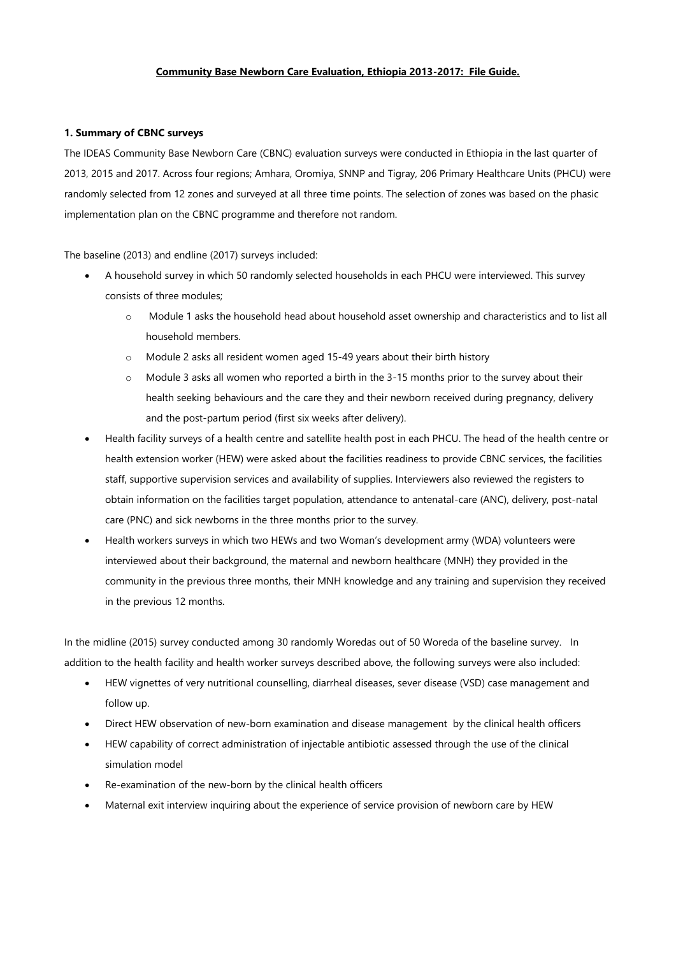## **Community Base Newborn Care Evaluation, Ethiopia 2013-2017: File Guide.**

## **1. Summary of CBNC surveys**

The IDEAS Community Base Newborn Care (CBNC) evaluation surveys were conducted in Ethiopia in the last quarter of 2013, 2015 and 2017. Across four regions; Amhara, Oromiya, SNNP and Tigray, 206 Primary Healthcare Units (PHCU) were randomly selected from 12 zones and surveyed at all three time points. The selection of zones was based on the phasic implementation plan on the CBNC programme and therefore not random.

The baseline (2013) and endline (2017) surveys included:

- A household survey in which 50 randomly selected households in each PHCU were interviewed. This survey consists of three modules;
	- o Module 1 asks the household head about household asset ownership and characteristics and to list all household members.
	- o Module 2 asks all resident women aged 15-49 years about their birth history
	- o Module 3 asks all women who reported a birth in the 3-15 months prior to the survey about their health seeking behaviours and the care they and their newborn received during pregnancy, delivery and the post-partum period (first six weeks after delivery).
- Health facility surveys of a health centre and satellite health post in each PHCU. The head of the health centre or health extension worker (HEW) were asked about the facilities readiness to provide CBNC services, the facilities staff, supportive supervision services and availability of supplies. Interviewers also reviewed the registers to obtain information on the facilities target population, attendance to antenatal-care (ANC), delivery, post-natal care (PNC) and sick newborns in the three months prior to the survey.
- Health workers surveys in which two HEWs and two Woman's development army (WDA) volunteers were interviewed about their background, the maternal and newborn healthcare (MNH) they provided in the community in the previous three months, their MNH knowledge and any training and supervision they received in the previous 12 months.

In the midline (2015) survey conducted among 30 randomly Woredas out of 50 Woreda of the baseline survey. In addition to the health facility and health worker surveys described above, the following surveys were also included:

- HEW vignettes of very nutritional counselling, diarrheal diseases, sever disease (VSD) case management and follow up.
- Direct HEW observation of new-born examination and disease management by the clinical health officers
- HEW capability of correct administration of injectable antibiotic assessed through the use of the clinical simulation model
- Re-examination of the new-born by the clinical health officers
- Maternal exit interview inquiring about the experience of service provision of newborn care by HEW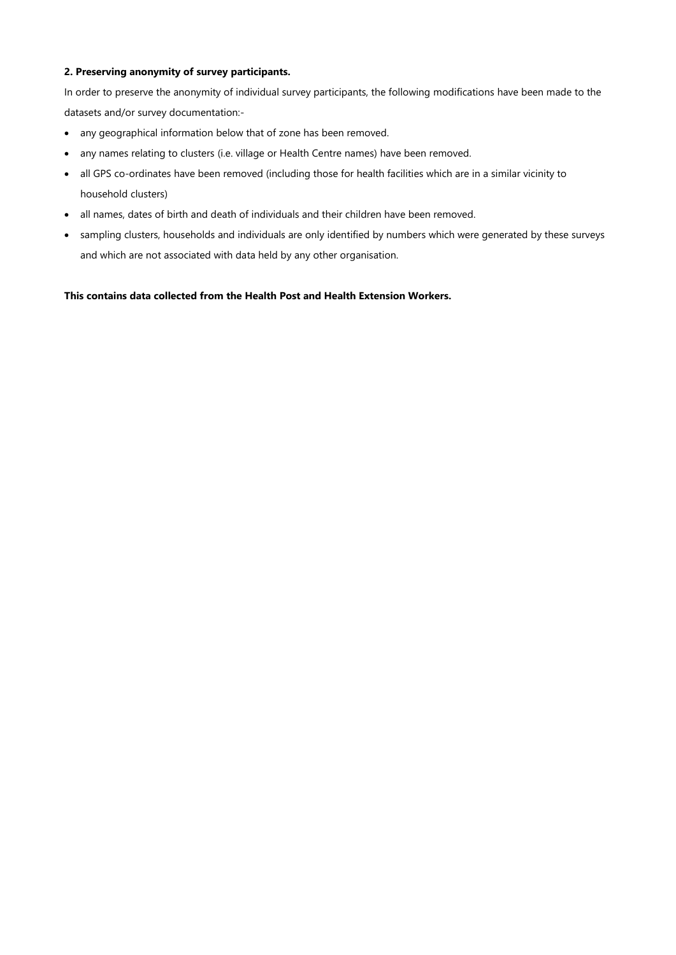## **2. Preserving anonymity of survey participants.**

In order to preserve the anonymity of individual survey participants, the following modifications have been made to the datasets and/or survey documentation:-

- any geographical information below that of zone has been removed.
- any names relating to clusters (i.e. village or Health Centre names) have been removed.
- all GPS co-ordinates have been removed (including those for health facilities which are in a similar vicinity to household clusters)
- all names, dates of birth and death of individuals and their children have been removed.
- sampling clusters, households and individuals are only identified by numbers which were generated by these surveys and which are not associated with data held by any other organisation.

**This contains data collected from the Health Post and Health Extension Workers.**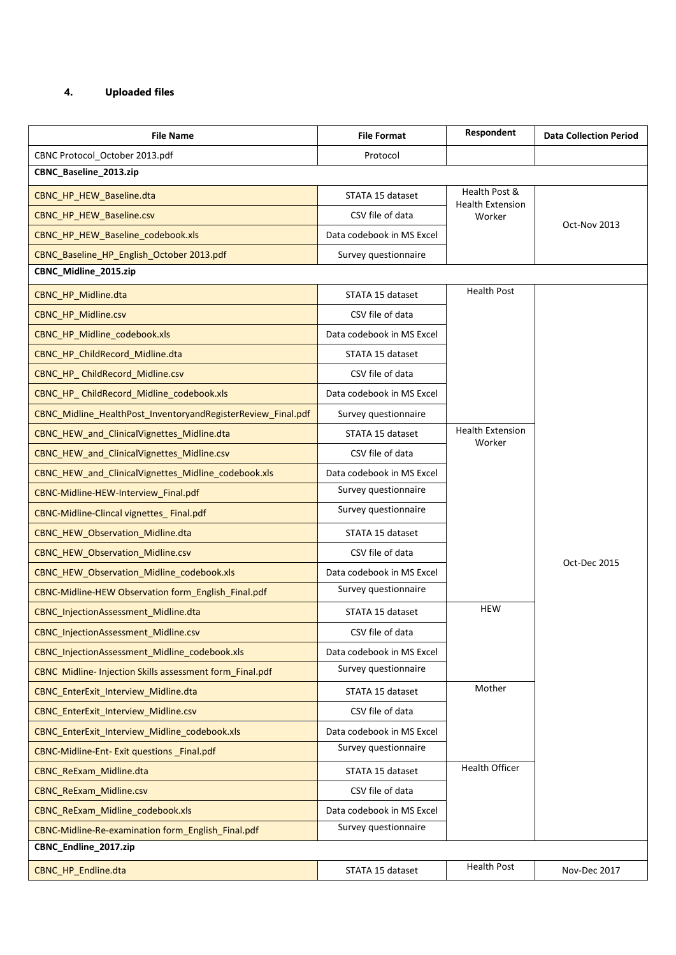## **4. Uploaded files**

| <b>File Name</b>                                             | <b>File Format</b>        | Respondent                                                                                  | <b>Data Collection Period</b> |
|--------------------------------------------------------------|---------------------------|---------------------------------------------------------------------------------------------|-------------------------------|
| CBNC Protocol_October 2013.pdf                               | Protocol                  |                                                                                             |                               |
| CBNC_Baseline_2013.zip                                       |                           |                                                                                             |                               |
| CBNC_HP_HEW_Baseline.dta                                     | STATA 15 dataset          | Health Post &<br><b>Health Extension</b><br>Worker                                          | Oct-Nov 2013                  |
| CBNC_HP_HEW_Baseline.csv                                     | CSV file of data          |                                                                                             |                               |
| CBNC_HP_HEW_Baseline_codebook.xls                            | Data codebook in MS Excel |                                                                                             |                               |
| CBNC_Baseline_HP_English_October 2013.pdf                    | Survey questionnaire      |                                                                                             |                               |
| CBNC_Midline_2015.zip                                        |                           |                                                                                             |                               |
| CBNC_HP_Midline.dta                                          | STATA 15 dataset          | <b>Health Post</b>                                                                          |                               |
| CBNC_HP_Midline.csv                                          | CSV file of data          | <b>Health Extension</b><br>Worker<br>Oct-Dec 2015<br><b>HEW</b><br>Mother<br>Health Officer |                               |
| CBNC_HP_Midline_codebook.xls                                 | Data codebook in MS Excel |                                                                                             |                               |
| CBNC HP ChildRecord Midline.dta                              | STATA 15 dataset          |                                                                                             |                               |
| CBNC HP ChildRecord Midline.csv                              | CSV file of data          |                                                                                             |                               |
| CBNC_HP_ChildRecord_Midline_codebook.xls                     | Data codebook in MS Excel |                                                                                             |                               |
| CBNC_Midline_HealthPost_InventoryandRegisterReview_Final.pdf | Survey questionnaire      |                                                                                             |                               |
| CBNC_HEW_and_ClinicalVignettes_Midline.dta                   | STATA 15 dataset          |                                                                                             |                               |
| CBNC_HEW_and_ClinicalVignettes_Midline.csv                   | CSV file of data          |                                                                                             |                               |
| CBNC_HEW_and_ClinicalVignettes_Midline_codebook.xls          | Data codebook in MS Excel |                                                                                             |                               |
| CBNC-Midline-HEW-Interview_Final.pdf                         | Survey questionnaire      |                                                                                             |                               |
| CBNC-Midline-Clincal vignettes_Final.pdf                     | Survey questionnaire      |                                                                                             |                               |
| CBNC_HEW_Observation_Midline.dta                             | STATA 15 dataset          |                                                                                             |                               |
| CBNC_HEW_Observation_Midline.csv                             | CSV file of data          |                                                                                             |                               |
| CBNC_HEW_Observation_Midline_codebook.xls                    | Data codebook in MS Excel |                                                                                             |                               |
| CBNC-Midline-HEW Observation form_English_Final.pdf          | Survey questionnaire      |                                                                                             |                               |
| CBNC InjectionAssessment Midline.dta                         | STATA 15 dataset          |                                                                                             |                               |
| <b>CBNC InjectionAssessment Midline.csv</b>                  | CSV file of data          |                                                                                             |                               |
| CBNC InjectionAssessment Midline codebook.xls                | Data codebook in MS Excel |                                                                                             |                               |
| CBNC Midline- Injection Skills assessment form_Final.pdf     | Survey questionnaire      |                                                                                             |                               |
| CBNC EnterExit Interview Midline.dta                         | STATA 15 dataset          |                                                                                             |                               |
| <b>CBNC EnterExit Interview Midline.csv</b>                  | CSV file of data          |                                                                                             |                               |
| CBNC_EnterExit_Interview_Midline_codebook.xls                | Data codebook in MS Excel |                                                                                             |                               |
| CBNC-Midline-Ent- Exit questions Final.pdf                   | Survey questionnaire      |                                                                                             |                               |
| CBNC_ReExam_Midline.dta                                      | STATA 15 dataset          |                                                                                             |                               |
| CBNC_ReExam_Midline.csv                                      | CSV file of data          |                                                                                             |                               |
| CBNC_ReExam_Midline_codebook.xls                             | Data codebook in MS Excel |                                                                                             |                               |
| CBNC-Midline-Re-examination form_English_Final.pdf           | Survey questionnaire      |                                                                                             |                               |
| CBNC_Endline_2017.zip                                        |                           |                                                                                             |                               |
| CBNC_HP_Endline.dta                                          | STATA 15 dataset          | <b>Health Post</b>                                                                          | Nov-Dec 2017                  |